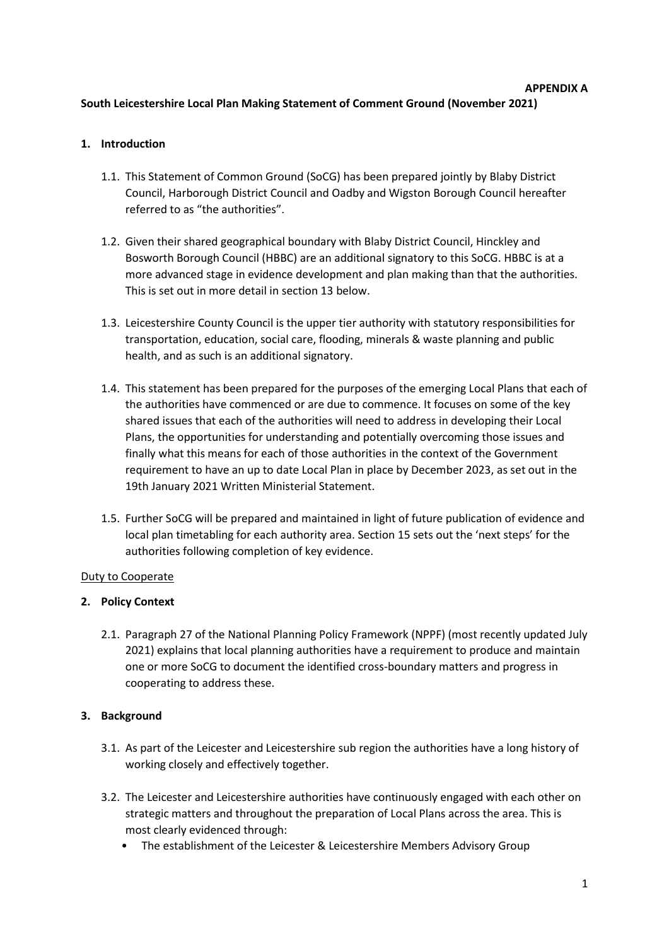# **APPENDIX A South Leicestershire Local Plan Making Statement of Comment Ground (November 2021)**

# **1. Introduction**

- 1.1. This Statement of Common Ground (SoCG) has been prepared jointly by Blaby District Council, Harborough District Council and Oadby and Wigston Borough Council hereafter referred to as "the authorities".
- 1.2. Given their shared geographical boundary with Blaby District Council, Hinckley and Bosworth Borough Council (HBBC) are an additional signatory to this SoCG. HBBC is at a more advanced stage in evidence development and plan making than that the authorities. This is set out in more detail in section 13 below.
- 1.3. Leicestershire County Council is the upper tier authority with statutory responsibilities for transportation, education, social care, flooding, minerals & waste planning and public health, and as such is an additional signatory.
- 1.4. This statement has been prepared for the purposes of the emerging Local Plans that each of the authorities have commenced or are due to commence. It focuses on some of the key shared issues that each of the authorities will need to address in developing their Local Plans, the opportunities for understanding and potentially overcoming those issues and finally what this means for each of those authorities in the context of the Government requirement to have an up to date Local Plan in place by December 2023, as set out in the 19th January 2021 Written Ministerial Statement.
- 1.5. Further SoCG will be prepared and maintained in light of future publication of evidence and local plan timetabling for each authority area. Section 15 sets out the 'next steps' for the authorities following completion of key evidence.

# Duty to Cooperate

# **2. Policy Context**

2.1. Paragraph 27 of the National Planning Policy Framework (NPPF) (most recently updated July 2021) explains that local planning authorities have a requirement to produce and maintain one or more SoCG to document the identified cross-boundary matters and progress in cooperating to address these.

# **3. Background**

- 3.1. As part of the Leicester and Leicestershire sub region the authorities have a long history of working closely and effectively together.
- 3.2. The Leicester and Leicestershire authorities have continuously engaged with each other on strategic matters and throughout the preparation of Local Plans across the area. This is most clearly evidenced through:
	- The establishment of the Leicester & Leicestershire Members Advisory Group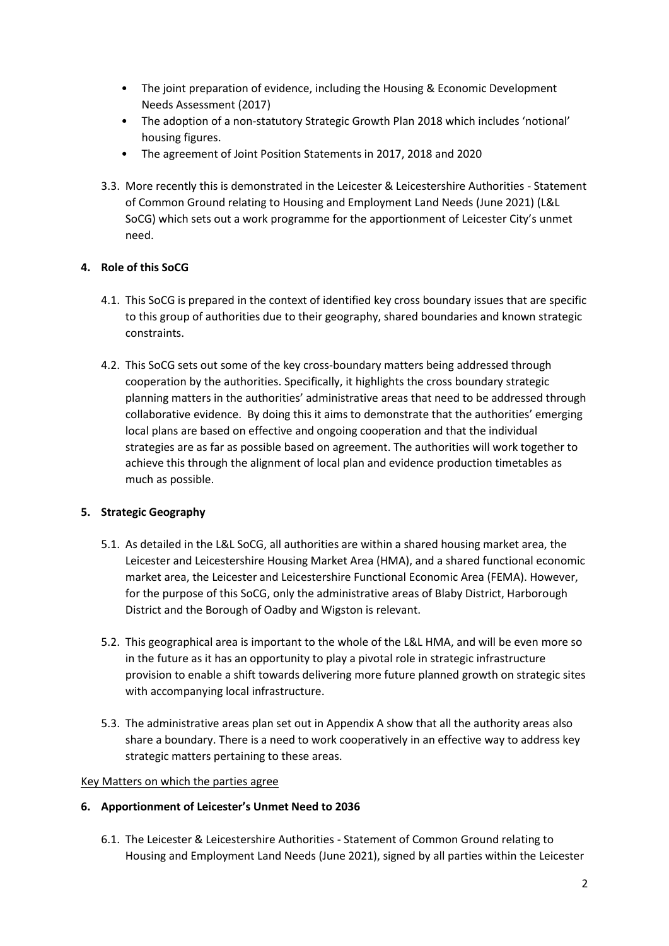- The joint preparation of evidence, including the Housing & Economic Development Needs Assessment (2017)
- The adoption of a non-statutory Strategic Growth Plan 2018 which includes 'notional' housing figures.
- The agreement of Joint Position Statements in 2017, 2018 and 2020
- 3.3. More recently this is demonstrated in the Leicester & Leicestershire Authorities Statement of Common Ground relating to Housing and Employment Land Needs (June 2021) (L&L SoCG) which sets out a work programme for the apportionment of Leicester City's unmet need.

# **4. Role of this SoCG**

- 4.1. This SoCG is prepared in the context of identified key cross boundary issues that are specific to this group of authorities due to their geography, shared boundaries and known strategic constraints.
- 4.2. This SoCG sets out some of the key cross-boundary matters being addressed through cooperation by the authorities. Specifically, it highlights the cross boundary strategic planning matters in the authorities' administrative areas that need to be addressed through collaborative evidence. By doing this it aims to demonstrate that the authorities' emerging local plans are based on effective and ongoing cooperation and that the individual strategies are as far as possible based on agreement. The authorities will work together to achieve this through the alignment of local plan and evidence production timetables as much as possible.

# **5. Strategic Geography**

- 5.1. As detailed in the L&L SoCG, all authorities are within a shared housing market area, the Leicester and Leicestershire Housing Market Area (HMA), and a shared functional economic market area, the Leicester and Leicestershire Functional Economic Area (FEMA). However, for the purpose of this SoCG, only the administrative areas of Blaby District, Harborough District and the Borough of Oadby and Wigston is relevant.
- 5.2. This geographical area is important to the whole of the L&L HMA, and will be even more so in the future as it has an opportunity to play a pivotal role in strategic infrastructure provision to enable a shift towards delivering more future planned growth on strategic sites with accompanying local infrastructure.
- 5.3. The administrative areas plan set out in Appendix A show that all the authority areas also share a boundary. There is a need to work cooperatively in an effective way to address key strategic matters pertaining to these areas.

# Key Matters on which the parties agree

# **6. Apportionment of Leicester's Unmet Need to 2036**

6.1. The Leicester & Leicestershire Authorities - Statement of Common Ground relating to Housing and Employment Land Needs (June 2021), signed by all parties within the Leicester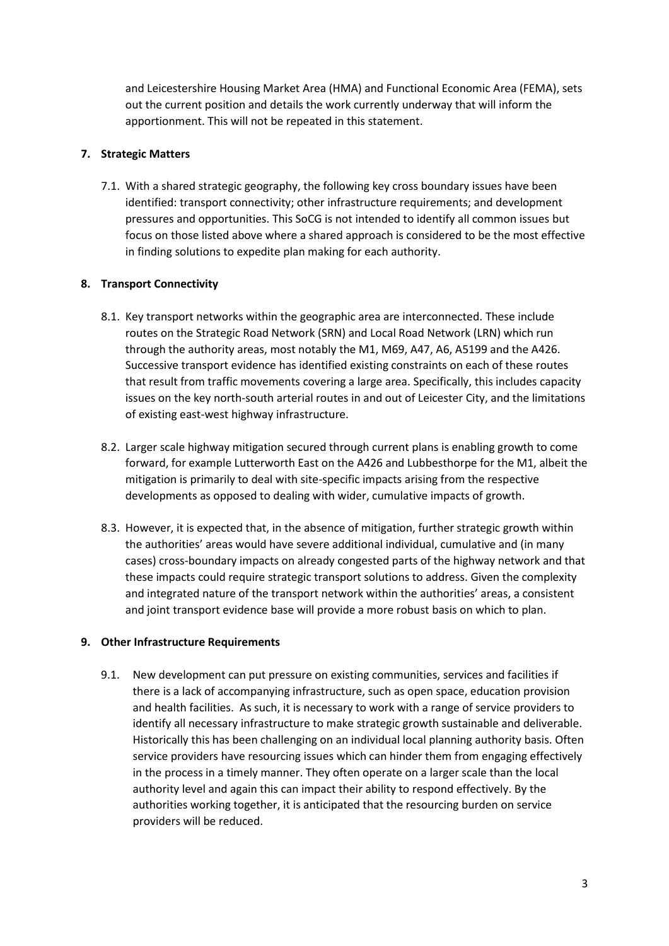and Leicestershire Housing Market Area (HMA) and Functional Economic Area (FEMA), sets out the current position and details the work currently underway that will inform the apportionment. This will not be repeated in this statement.

### **7. Strategic Matters**

7.1. With a shared strategic geography, the following key cross boundary issues have been identified: transport connectivity; other infrastructure requirements; and development pressures and opportunities. This SoCG is not intended to identify all common issues but focus on those listed above where a shared approach is considered to be the most effective in finding solutions to expedite plan making for each authority.

#### **8. Transport Connectivity**

- 8.1. Key transport networks within the geographic area are interconnected. These include routes on the Strategic Road Network (SRN) and Local Road Network (LRN) which run through the authority areas, most notably the M1, M69, A47, A6, A5199 and the A426. Successive transport evidence has identified existing constraints on each of these routes that result from traffic movements covering a large area. Specifically, this includes capacity issues on the key north-south arterial routes in and out of Leicester City, and the limitations of existing east-west highway infrastructure.
- 8.2. Larger scale highway mitigation secured through current plans is enabling growth to come forward, for example Lutterworth East on the A426 and Lubbesthorpe for the M1, albeit the mitigation is primarily to deal with site-specific impacts arising from the respective developments as opposed to dealing with wider, cumulative impacts of growth.
- 8.3. However, it is expected that, in the absence of mitigation, further strategic growth within the authorities' areas would have severe additional individual, cumulative and (in many cases) cross-boundary impacts on already congested parts of the highway network and that these impacts could require strategic transport solutions to address. Given the complexity and integrated nature of the transport network within the authorities' areas, a consistent and joint transport evidence base will provide a more robust basis on which to plan.

#### **9. Other Infrastructure Requirements**

9.1. New development can put pressure on existing communities, services and facilities if there is a lack of accompanying infrastructure, such as open space, education provision and health facilities. As such, it is necessary to work with a range of service providers to identify all necessary infrastructure to make strategic growth sustainable and deliverable. Historically this has been challenging on an individual local planning authority basis. Often service providers have resourcing issues which can hinder them from engaging effectively in the process in a timely manner. They often operate on a larger scale than the local authority level and again this can impact their ability to respond effectively. By the authorities working together, it is anticipated that the resourcing burden on service providers will be reduced.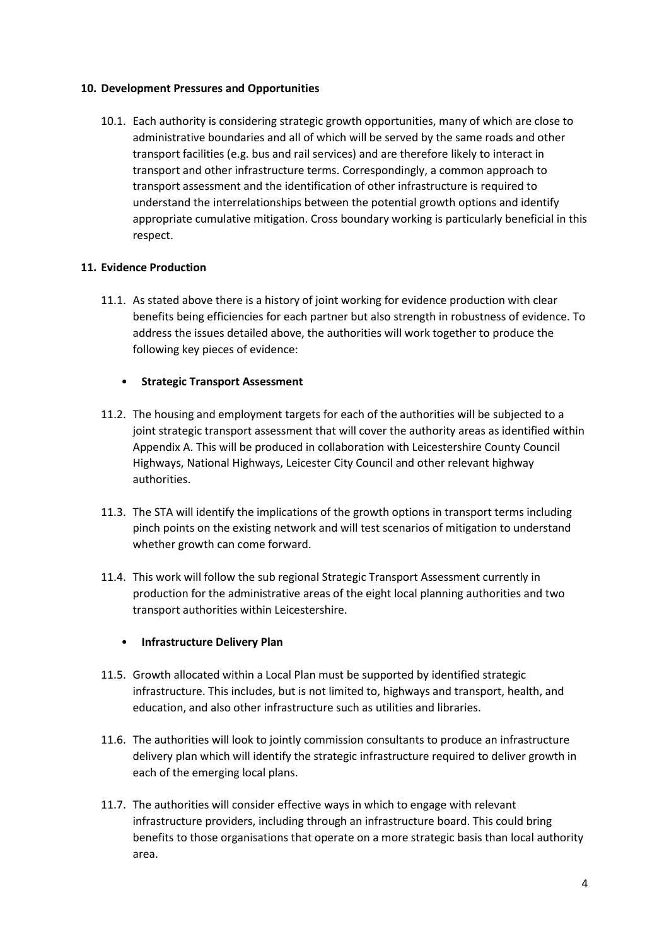#### **10. Development Pressures and Opportunities**

10.1. Each authority is considering strategic growth opportunities, many of which are close to administrative boundaries and all of which will be served by the same roads and other transport facilities (e.g. bus and rail services) and are therefore likely to interact in transport and other infrastructure terms. Correspondingly, a common approach to transport assessment and the identification of other infrastructure is required to understand the interrelationships between the potential growth options and identify appropriate cumulative mitigation. Cross boundary working is particularly beneficial in this respect.

# **11. Evidence Production**

11.1. As stated above there is a history of joint working for evidence production with clear benefits being efficiencies for each partner but also strength in robustness of evidence. To address the issues detailed above, the authorities will work together to produce the following key pieces of evidence:

#### • **Strategic Transport Assessment**

- 11.2. The housing and employment targets for each of the authorities will be subjected to a joint strategic transport assessment that will cover the authority areas as identified within Appendix A. This will be produced in collaboration with Leicestershire County Council Highways, National Highways, Leicester City Council and other relevant highway authorities.
- 11.3. The STA will identify the implications of the growth options in transport terms including pinch points on the existing network and will test scenarios of mitigation to understand whether growth can come forward.
- 11.4. This work will follow the sub regional Strategic Transport Assessment currently in production for the administrative areas of the eight local planning authorities and two transport authorities within Leicestershire.

# • **Infrastructure Delivery Plan**

- 11.5. Growth allocated within a Local Plan must be supported by identified strategic infrastructure. This includes, but is not limited to, highways and transport, health, and education, and also other infrastructure such as utilities and libraries.
- 11.6. The authorities will look to jointly commission consultants to produce an infrastructure delivery plan which will identify the strategic infrastructure required to deliver growth in each of the emerging local plans.
- 11.7. The authorities will consider effective ways in which to engage with relevant infrastructure providers, including through an infrastructure board. This could bring benefits to those organisations that operate on a more strategic basis than local authority area.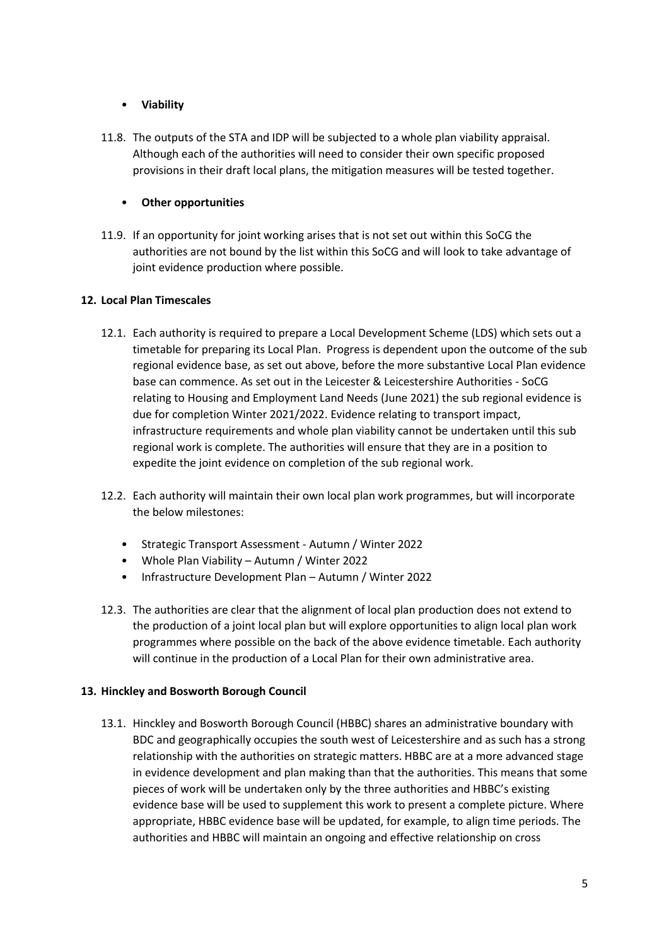# • **Viability**

11.8. The outputs of the STA and IDP will be subjected to a whole plan viability appraisal. Although each of the authorities will need to consider their own specific proposed provisions in their draft local plans, the mitigation measures will be tested together.

# • **Other opportunities**

11.9. If an opportunity for joint working arises that is not set out within this SoCG the authorities are not bound by the list within this SoCG and will look to take advantage of joint evidence production where possible.

# **12. Local Plan Timescales**

- 12.1. Each authority is required to prepare a Local Development Scheme (LDS) which sets out a timetable for preparing its Local Plan. Progress is dependent upon the outcome of the sub regional evidence base, as set out above, before the more substantive Local Plan evidence base can commence. As set out in the Leicester & Leicestershire Authorities - SoCG relating to Housing and Employment Land Needs (June 2021) the sub regional evidence is due for completion Winter 2021/2022. Evidence relating to transport impact, infrastructure requirements and whole plan viability cannot be undertaken until this sub regional work is complete. The authorities will ensure that they are in a position to expedite the joint evidence on completion of the sub regional work.
- 12.2. Each authority will maintain their own local plan work programmes, but will incorporate the below milestones:
	- Strategic Transport Assessment Autumn / Winter 2022
	- Whole Plan Viability Autumn / Winter 2022
	- Infrastructure Development Plan Autumn / Winter 2022
- 12.3. The authorities are clear that the alignment of local plan production does not extend to the production of a joint local plan but will explore opportunities to align local plan work programmes where possible on the back of the above evidence timetable. Each authority will continue in the production of a Local Plan for their own administrative area.

# **13. Hinckley and Bosworth Borough Council**

13.1. Hinckley and Bosworth Borough Council (HBBC) shares an administrative boundary with BDC and geographically occupies the south west of Leicestershire and as such has a strong relationship with the authorities on strategic matters. HBBC are at a more advanced stage in evidence development and plan making than that the authorities. This means that some pieces of work will be undertaken only by the three authorities and HBBC's existing evidence base will be used to supplement this work to present a complete picture. Where appropriate, HBBC evidence base will be updated, for example, to align time periods. The authorities and HBBC will maintain an ongoing and effective relationship on cross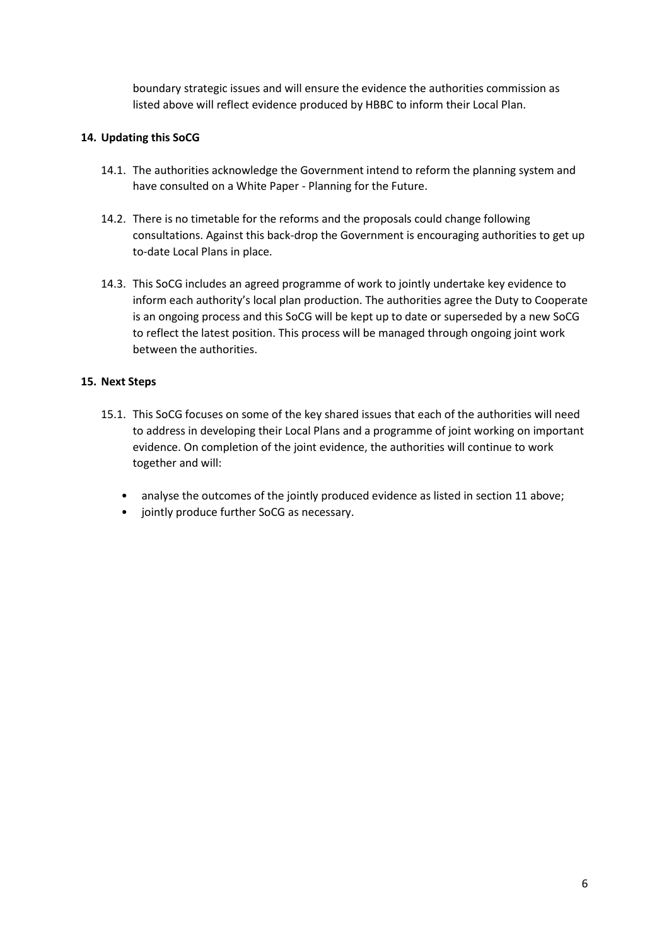boundary strategic issues and will ensure the evidence the authorities commission as listed above will reflect evidence produced by HBBC to inform their Local Plan.

# **14. Updating this SoCG**

- 14.1. The authorities acknowledge the Government intend to reform the planning system and have consulted on a White Paper - Planning for the Future.
- 14.2. There is no timetable for the reforms and the proposals could change following consultations. Against this back-drop the Government is encouraging authorities to get up to-date Local Plans in place.
- 14.3. This SoCG includes an agreed programme of work to jointly undertake key evidence to inform each authority's local plan production. The authorities agree the Duty to Cooperate is an ongoing process and this SoCG will be kept up to date or superseded by a new SoCG to reflect the latest position. This process will be managed through ongoing joint work between the authorities.

#### **15. Next Steps**

- 15.1. This SoCG focuses on some of the key shared issues that each of the authorities will need to address in developing their Local Plans and a programme of joint working on important evidence. On completion of the joint evidence, the authorities will continue to work together and will:
	- analyse the outcomes of the jointly produced evidence as listed in section 11 above;
	- jointly produce further SoCG as necessary.